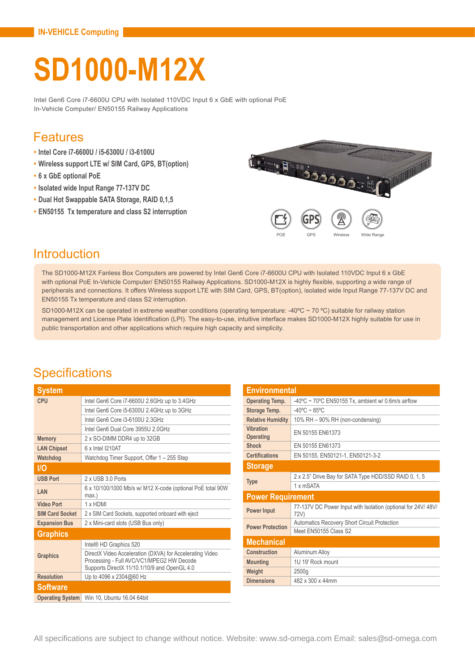# **SD1000-M12X**

Intel Gen6 Core i7-6600U CPU with Isolated 110VDC Input 6 x GbE with optional PoE In-Vehicle Computer/ EN50155 Railway Applications

#### Features

- **• Intel Core i7-6600U / i5-6300U / i3-6100U**
- **• Wireless support LTE w/ SIM Card, GPS, BT(option)**
- **• 6 x GbE optional PoE**
- **• Isolated wide Input Range 77-137V DC**
- **• Dual Hot Swappable SATA Storage, RAID 0,1,5**
- **• EN50155 Tx temperature and class S2 interruption**



### Introduction

The SD1000-M12X Fanless Box Computers are powered by Intel Gen6 Core i7-6600U CPU with Isolated 110VDC Input 6 x GbE with optional PoE In-Vehicle Computer/ EN50155 Railway Applications. SD1000-M12X is highly flexible, supporting a wide range of peripherals and connections. It offers Wireless support LTE with SIM Card, GPS, BT(option), isolated wide Input Range 77-137V DC and EN50155 Tx temperature and class S2 interruption.

SD1000-M12X can be operated in extreme weather conditions (operating temperature: -40°C ~ 70 °C) suitable for railway station management and License Plate Identification (LPI). The easy-to-use, intuitive interface makes SD1000-M12X highly suitable for use in public transportation and other applications which require high capacity and simplicity.

## **Specifications**

| <b>System</b>           |                                                                                                                                                       |  |
|-------------------------|-------------------------------------------------------------------------------------------------------------------------------------------------------|--|
| CPU                     | Intel Gen6 Core i7-6600U 2.6GHz up to 3.4GHz                                                                                                          |  |
|                         | Intel Gen6 Core i5-6300U 2.4GHz up to 3GHz                                                                                                            |  |
|                         | Intel Gen6 Core i3-6100U 2 3GHz                                                                                                                       |  |
|                         | Intel Gen6 Dual Core 3955U 2 0GHz                                                                                                                     |  |
| <b>Memory</b>           | 2 x SO-DIMM DDR4 up to 32GB                                                                                                                           |  |
| <b>LAN Chipset</b>      | 6 x Intel I210AT                                                                                                                                      |  |
| Watchdog                | Watchdog Timer Support, Offer 1 - 255 Step                                                                                                            |  |
| <b>I/O</b>              |                                                                                                                                                       |  |
| <b>USB Port</b>         | 2 x USB 3 0 Ports                                                                                                                                     |  |
| LAN                     | 6 x 10/100/1000 Mb/s w/ M12 X-code (optional PoE total 90W<br>$max.$ )                                                                                |  |
| <b>Video Port</b>       | 1 x HDMI                                                                                                                                              |  |
| <b>SIM Card Socket</b>  | 2 x SIM Card Sockets, supported onboard with eject                                                                                                    |  |
| <b>Expansion Bus</b>    | 2 x Mini-card slots (USB Bus only)                                                                                                                    |  |
| <b>Graphics</b>         |                                                                                                                                                       |  |
|                         | Intel® HD Graphics 520                                                                                                                                |  |
| <b>Graphics</b>         | DirectX Video Acceleration (DXVA) for Accelerating Video<br>Processing - Full AVC/VC1/MPEG2 HW Decode<br>Supports DirectX 11/10.1/10/9 and OpenGL 4.0 |  |
| <b>Resolution</b>       | Up to 4096 x 2304@60 Hz                                                                                                                               |  |
| <b>Software</b>         |                                                                                                                                                       |  |
| <b>Operating System</b> | Win 10, Ubuntu 16.04 64bit                                                                                                                            |  |

| <b>Environmental</b>                 |                                                                      |  |
|--------------------------------------|----------------------------------------------------------------------|--|
| <b>Operating Temp.</b>               | $-40^{\circ}$ C ~ 70°C EN50155 Tx, ambient w/ 0.6m/s airflow         |  |
| Storage Temp.                        | $-40^{\circ}$ C ~ 85°C                                               |  |
| <b>Relative Humidity</b>             | 10% RH - 90% RH (non-condensing)                                     |  |
| <b>Vibration</b><br><b>Operating</b> | EN 50155 EN61373                                                     |  |
| <b>Shock</b>                         | EN 50155 EN61373                                                     |  |
| <b>Certifications</b>                | EN 50155, EN50121-1, EN50121-3-2                                     |  |
| <b>Storage</b>                       |                                                                      |  |
|                                      | 2 x 2.5" Drive Bay for SATA Type HDD/SSD RAID 0, 1, 5                |  |
| <b>Type</b>                          | 1 x mSATA                                                            |  |
| <b>Power Requirement</b>             |                                                                      |  |
| <b>Power Input</b>                   | 77-137V DC Power Input with Isolation (optional for 24V/48V/<br>72V) |  |
| <b>Power Protection</b>              | <b>Automatics Recovery Short Circuit Protection</b>                  |  |
|                                      | Meet EN50155 Class S2                                                |  |
| <b>Mechanical</b>                    |                                                                      |  |
| Construction                         | Aluminum Alloy                                                       |  |
| <b>Mounting</b>                      | 1U 19' Rock mount                                                    |  |
| Weight                               | 2500q                                                                |  |
| <b>Dimensions</b>                    | 482 x 300 x 44mm                                                     |  |